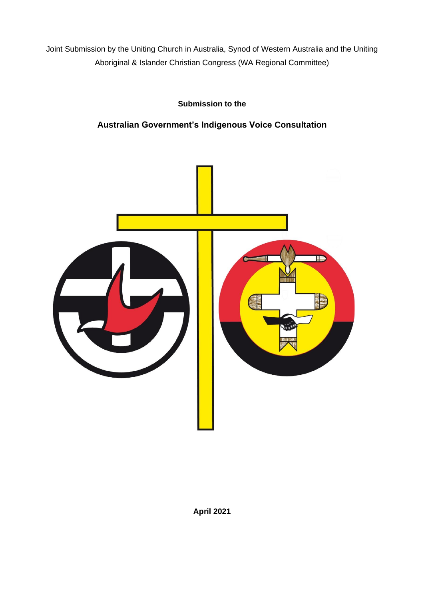Joint Submission by the Uniting Church in Australia, Synod of Western Australia and the Uniting Aboriginal & Islander Christian Congress (WA Regional Committee)

# **Submission to the**

**Australian Government's Indigenous Voice Consultation**

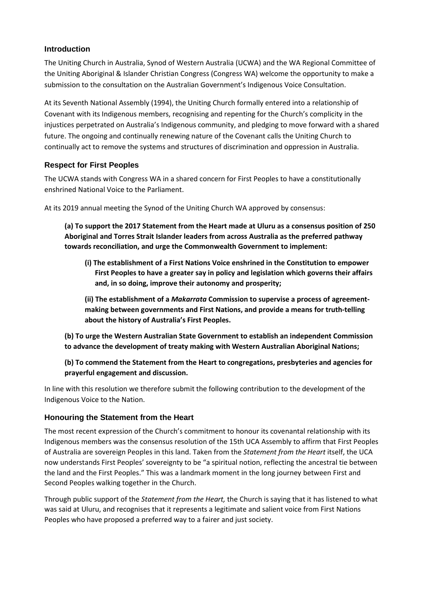## **Introduction**

The Uniting Church in Australia, Synod of Western Australia (UCWA) and the WA Regional Committee of the Uniting Aboriginal & Islander Christian Congress (Congress WA) welcome the opportunity to make a submission to the consultation on the Australian Government's Indigenous Voice Consultation.

At its Seventh National Assembly (1994), the Uniting Church formally entered into a relationship of Covenant with its Indigenous members, recognising and repenting for the Church's complicity in the injustices perpetrated on Australia's Indigenous community, and pledging to move forward with a shared future. The ongoing and continually renewing nature of the Covenant calls the Uniting Church to continually act to remove the systems and structures of discrimination and oppression in Australia.

# **Respect for First Peoples**

The UCWA stands with Congress WA in a shared concern for First Peoples to have a constitutionally enshrined National Voice to the Parliament.

At its 2019 annual meeting the Synod of the Uniting Church WA approved by consensus:

**(a) To support the 2017 Statement from the Heart made at Uluru as a consensus position of 250 Aboriginal and Torres Strait Islander leaders from across Australia as the preferred pathway towards reconciliation, and urge the Commonwealth Government to implement:**

**(i) The establishment of a First Nations Voice enshrined in the Constitution to empower First Peoples to have a greater say in policy and legislation which governs their affairs and, in so doing, improve their autonomy and prosperity;**

**(ii) The establishment of a** *Makarrata* **Commission to supervise a process of agreementmaking between governments and First Nations, and provide a means for truth-telling about the history of Australia's First Peoples.**

**(b) To urge the Western Australian State Government to establish an independent Commission to advance the development of treaty making with Western Australian Aboriginal Nations;**

**(b) To commend the Statement from the Heart to congregations, presbyteries and agencies for prayerful engagement and discussion.**

In line with this resolution we therefore submit the following contribution to the development of the Indigenous Voice to the Nation.

#### **Honouring the Statement from the Heart**

The most recent expression of the Church's commitment to honour its covenantal relationship with its Indigenous members was the consensus resolution of the 15th UCA Assembly to affirm that First Peoples of Australia are sovereign Peoples in this land. Taken from the *Statement from the Heart* itself, the UCA now understands First Peoples' sovereignty to be "a spiritual notion, reflecting the ancestral tie between the land and the First Peoples." This was a landmark moment in the long journey between First and Second Peoples walking together in the Church.

Through public support of the *Statement from the Heart,* the Church is saying that it has listened to what was said at Uluru, and recognises that it represents a legitimate and salient voice from First Nations Peoples who have proposed a preferred way to a fairer and just society.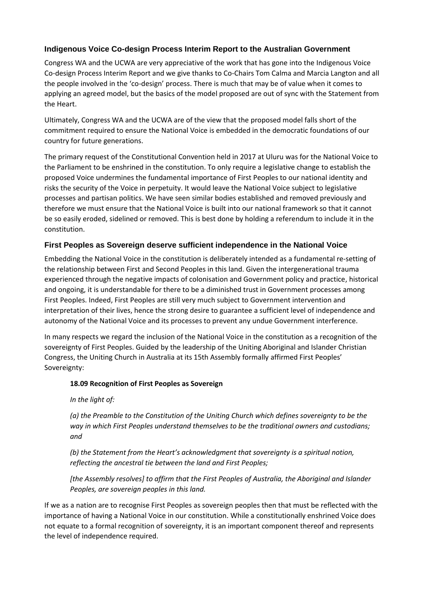# **Indigenous Voice Co-design Process Interim Report to the Australian Government**

Congress WA and the UCWA are very appreciative of the work that has gone into the Indigenous Voice Co-design Process Interim Report and we give thanks to Co-Chairs Tom Calma and Marcia Langton and all the people involved in the 'co-design' process. There is much that may be of value when it comes to applying an agreed model, but the basics of the model proposed are out of sync with the Statement from the Heart.

Ultimately, Congress WA and the UCWA are of the view that the proposed model falls short of the commitment required to ensure the National Voice is embedded in the democratic foundations of our country for future generations.

The primary request of the Constitutional Convention held in 2017 at Uluru was for the National Voice to the Parliament to be enshrined in the constitution. To only require a legislative change to establish the proposed Voice undermines the fundamental importance of First Peoples to our national identity and risks the security of the Voice in perpetuity. It would leave the National Voice subject to legislative processes and partisan politics. We have seen similar bodies established and removed previously and therefore we must ensure that the National Voice is built into our national framework so that it cannot be so easily eroded, sidelined or removed. This is best done by holding a referendum to include it in the constitution.

## **First Peoples as Sovereign deserve sufficient independence in the National Voice**

Embedding the National Voice in the constitution is deliberately intended as a fundamental re-setting of the relationship between First and Second Peoples in this land. Given the intergenerational trauma experienced through the negative impacts of colonisation and Government policy and practice, historical and ongoing, it is understandable for there to be a diminished trust in Government processes among First Peoples. Indeed, First Peoples are still very much subject to Government intervention and interpretation of their lives, hence the strong desire to guarantee a sufficient level of independence and autonomy of the National Voice and its processes to prevent any undue Government interference.

In many respects we regard the inclusion of the National Voice in the constitution as a recognition of the sovereignty of First Peoples. Guided by the leadership of the Uniting Aboriginal and Islander Christian Congress, the Uniting Church in Australia at its 15th Assembly formally affirmed First Peoples' Sovereignty:

#### **18.09 Recognition of First Peoples as Sovereign**

*In the light of:*

*(a) the Preamble to the Constitution of the Uniting Church which defines sovereignty to be the way in which First Peoples understand themselves to be the traditional owners and custodians; and*

*(b) the Statement from the Heart's acknowledgment that sovereignty is a spiritual notion, reflecting the ancestral tie between the land and First Peoples;*

*[the Assembly resolves] to affirm that the First Peoples of Australia, the Aboriginal and Islander Peoples, are sovereign peoples in this land.*

If we as a nation are to recognise First Peoples as sovereign peoples then that must be reflected with the importance of having a National Voice in our constitution. While a constitutionally enshrined Voice does not equate to a formal recognition of sovereignty, it is an important component thereof and represents the level of independence required.